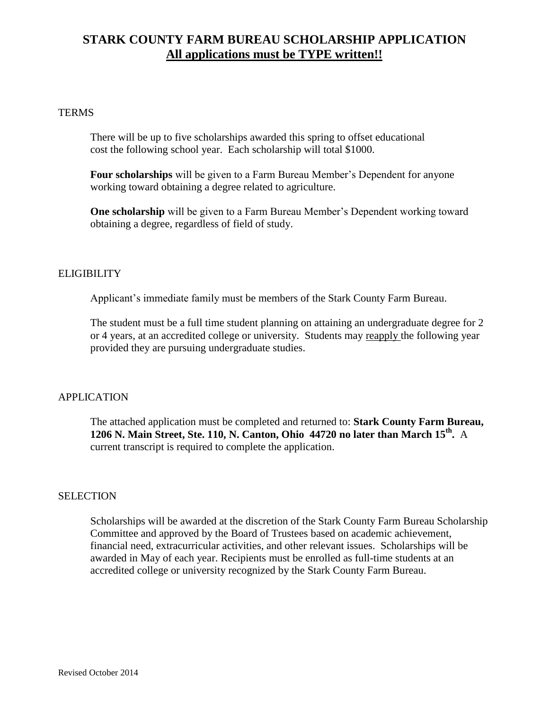## **STARK COUNTY FARM BUREAU SCHOLARSHIP APPLICATION All applications must be TYPE written!!**

#### **TERMS**

There will be up to five scholarships awarded this spring to offset educational cost the following school year. Each scholarship will total \$1000.

**Four scholarships** will be given to a Farm Bureau Member's Dependent for anyone working toward obtaining a degree related to agriculture.

**One scholarship** will be given to a Farm Bureau Member's Dependent working toward obtaining a degree, regardless of field of study.

### ELIGIBILITY

Applicant's immediate family must be members of the Stark County Farm Bureau.

The student must be a full time student planning on attaining an undergraduate degree for 2 or 4 years, at an accredited college or university. Students may reapply the following year provided they are pursuing undergraduate studies.

### APPLICATION

The attached application must be completed and returned to: **Stark County Farm Bureau, 1206 N. Main Street, Ste. 110, N. Canton, Ohio 44720 no later than March 15th .** A current transcript is required to complete the application.

#### **SELECTION**

Scholarships will be awarded at the discretion of the Stark County Farm Bureau Scholarship Committee and approved by the Board of Trustees based on academic achievement, financial need, extracurricular activities, and other relevant issues. Scholarships will be awarded in May of each year. Recipients must be enrolled as full-time students at an accredited college or university recognized by the Stark County Farm Bureau.